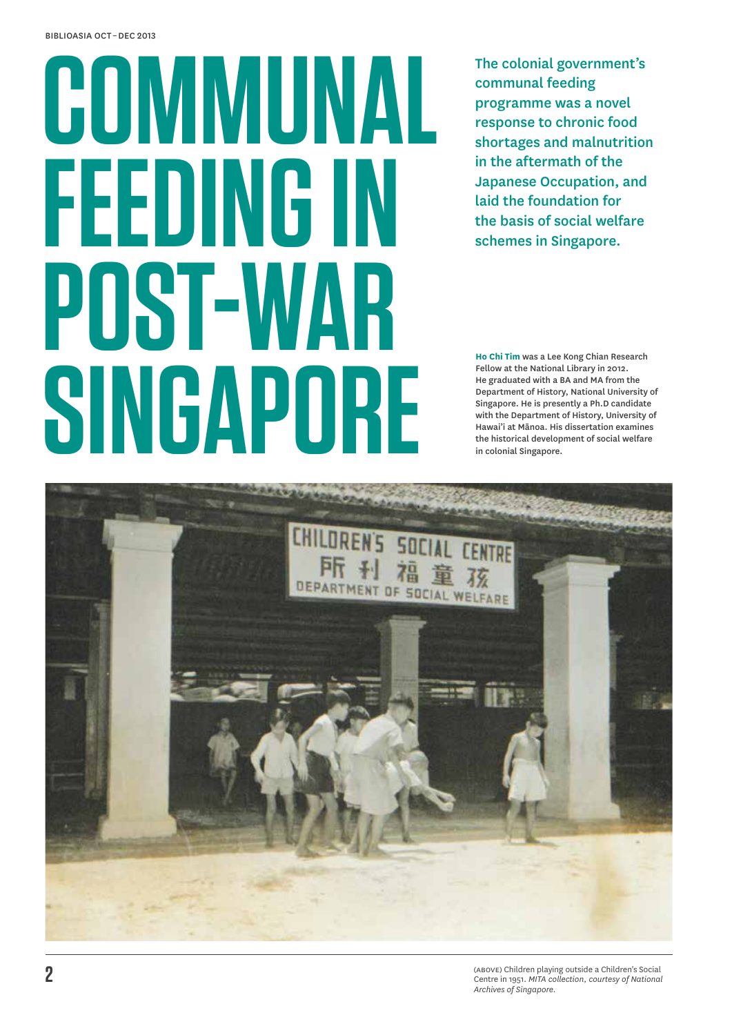# **Communal Feeding in Post-War Singapore**

The colonial government's communal feeding programme was a novel response to chronic food shortages and malnutrition in the aftermath of the Japanese Occupation, and laid the foundation for the basis of social welfare schemes in Singapore.

**Ho Chi Tim** was a Lee Kong Chian Research Fellow at the National Library in 2012. He graduated with a BA and MA from the Department of History, National University of Singapore. He is presently a Ph.D candidate with the Department of History, University of Hawai'i at Mānoa. His dissertation examines the historical development of social welfare in colonial Singapore.

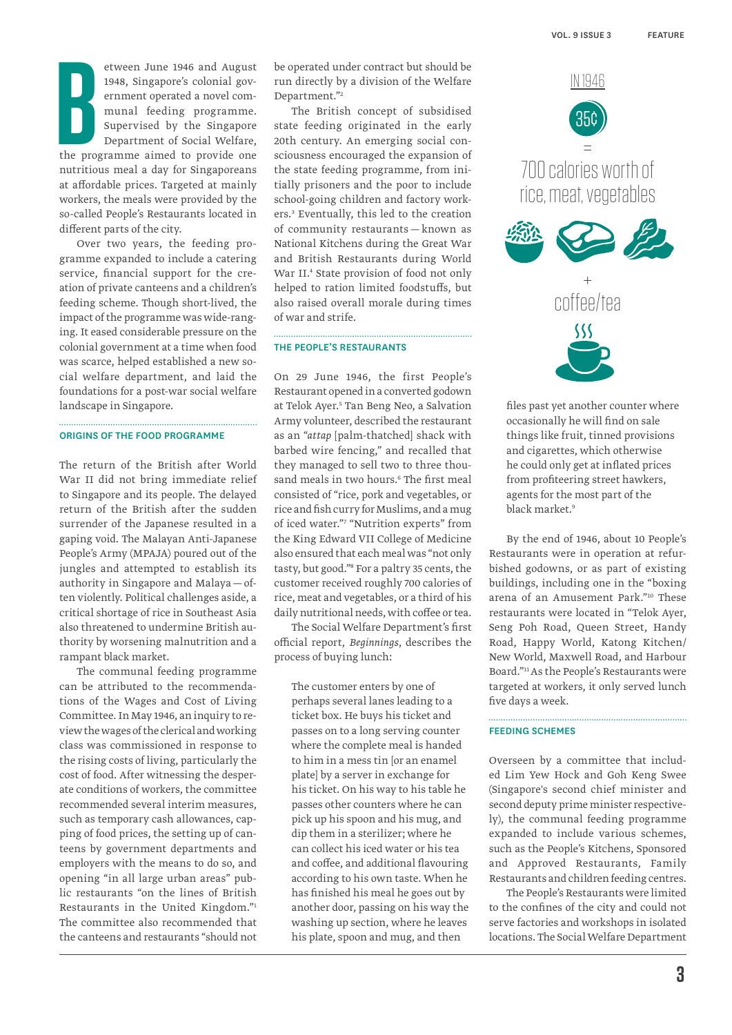**B**<br>the pro etween June 1946 and August 1948, Singapore's colonial government operated a novel communal feeding programme. Supervised by the Singapore Department of Social Welfare, the programme aimed to provide one nutritious meal a day for Singaporeans at affordable prices. Targeted at mainly workers, the meals were provided by the so-called People's Restaurants located in different parts of the city.

Over two years, the feeding programme expanded to include a catering service, financial support for the creation of private canteens and a children's feeding scheme. Though short-lived, the impact of the programme was wide-ranging. It eased considerable pressure on the colonial government at a time when food was scarce, helped established a new social welfare department, and laid the foundations for a post-war social welfare landscape in Singapore.

### Origins of the food programme

The return of the British after World War II did not bring immediate relief to Singapore and its people. The delayed return of the British after the sudden surrender of the Japanese resulted in a gaping void. The Malayan Anti-Japanese People's Army (MPAJA) poured out of the jungles and attempted to establish its authority in Singapore and Malaya—often violently. Political challenges aside, a critical shortage of rice in Southeast Asia also threatened to undermine British authority by worsening malnutrition and a rampant black market.

The communal feeding programme can be attributed to the recommendations of the Wages and Cost of Living Committee. In May 1946, an inquiry to review the wages of the clerical and working class was commissioned in response to the rising costs of living, particularly the cost of food. After witnessing the desperate conditions of workers, the committee recommended several interim measures, such as temporary cash allowances, capping of food prices, the setting up of canteens by government departments and employers with the means to do so, and opening "in all large urban areas" public restaurants "on the lines of British Restaurants in the United Kingdom."1 The committee also recommended that the canteens and restaurants "should not be operated under contract but should be run directly by a division of the Welfare Department."2

The British concept of subsidised state feeding originated in the early 20th century. An emerging social consciousness encouraged the expansion of the state feeding programme, from initially prisoners and the poor to include school-going children and factory workers.3 Eventually, this led to the creation of community restaurants — known as National Kitchens during the Great War and British Restaurants during World War II.4 State provision of food not only helped to ration limited foodstuffs, but also raised overall morale during times of war and strife.

#### The People's Restaurants

On 29 June 1946, the first People's Restaurant opened in a converted godown at Telok Ayer.<sup>5</sup> Tan Beng Neo, a Salvation Army volunteer, described the restaurant as an "*attap* [palm-thatched] shack with barbed wire fencing," and recalled that they managed to sell two to three thousand meals in two hours.6 The first meal consisted of "rice, pork and vegetables, or rice and fish curry for Muslims, and a mug of iced water."7 "Nutrition experts" from the King Edward VII College of Medicine also ensured that each meal was "not only tasty, but good."8 For a paltry 35 cents, the customer received roughly 700 calories of rice, meat and vegetables, or a third of his daily nutritional needs, with coffee or tea.

The Social Welfare Department's first official report, *Beginnings*, describes the process of buying lunch:

The customer enters by one of perhaps several lanes leading to a ticket box. He buys his ticket and passes on to a long serving counter where the complete meal is handed to him in a mess tin [or an enamel plate] by a server in exchange for his ticket. On his way to his table he passes other counters where he can pick up his spoon and his mug, and dip them in a sterilizer; where he can collect his iced water or his tea and coffee, and additional flavouring according to his own taste. When he has finished his meal he goes out by another door, passing on his way the washing up section, where he leaves his plate, spoon and mug, and then



files past yet another counter where occasionally he will find on sale things like fruit, tinned provisions and cigarettes, which otherwise he could only get at inflated prices from profiteering street hawkers, agents for the most part of the black market.<sup>9</sup>

By the end of 1946, about 10 People's Restaurants were in operation at refurbished godowns, or as part of existing buildings, including one in the "boxing arena of an Amusement Park."10 These restaurants were located in "Telok Ayer, Seng Poh Road, Queen Street, Handy Road, Happy World, Katong Kitchen/ New World, Maxwell Road, and Harbour Board."11 As the People's Restaurants were targeted at workers, it only served lunch five days a week.

#### Feeding Schemes

Overseen by a committee that included Lim Yew Hock and Goh Keng Swee (Singapore's second chief minister and second deputy prime minister respectively), the communal feeding programme expanded to include various schemes, such as the People's Kitchens, Sponsored and Approved Restaurants, Family Restaurants and children feeding centres.

The People's Restaurants were limited to the confines of the city and could not serve factories and workshops in isolated locations. The Social Welfare Department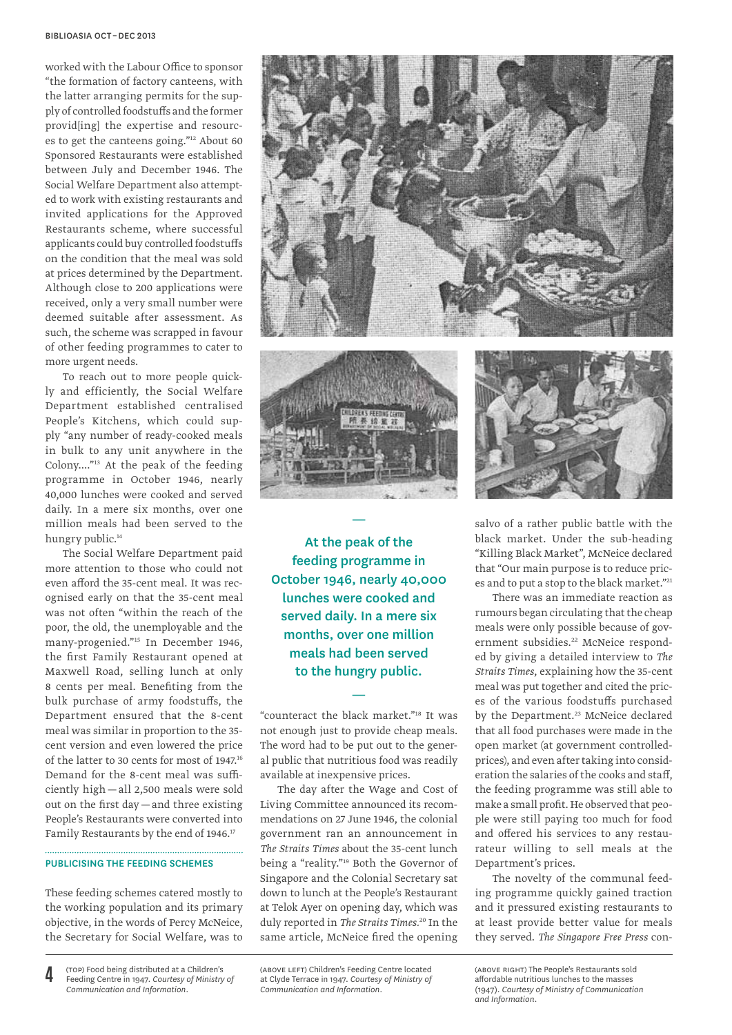worked with the Labour Office to sponsor "the formation of factory canteens, with the latter arranging permits for the supply of controlled foodstuffs and the former provid[ing] the expertise and resources to get the canteens going."12 About 60 Sponsored Restaurants were established between July and December 1946. The Social Welfare Department also attempted to work with existing restaurants and invited applications for the Approved Restaurants scheme, where successful applicants could buy controlled foodstuffs on the condition that the meal was sold at prices determined by the Department. Although close to 200 applications were received, only a very small number were deemed suitable after assessment. As such, the scheme was scrapped in favour of other feeding programmes to cater to more urgent needs.

To reach out to more people quickly and efficiently, the Social Welfare Department established centralised People's Kitchens, which could supply "any number of ready-cooked meals in bulk to any unit anywhere in the Colony...."13 At the peak of the feeding programme in October 1946, nearly 40,000 lunches were cooked and served daily. In a mere six months, over one million meals had been served to the hungry public.<sup>14</sup>

The Social Welfare Department paid more attention to those who could not even afford the 35-cent meal. It was recognised early on that the 35-cent meal was not often "within the reach of the poor, the old, the unemployable and the many-progenied."15 In December 1946, the first Family Restaurant opened at Maxwell Road, selling lunch at only 8 cents per meal. Benefiting from the bulk purchase of army foodstuffs, the Department ensured that the 8-cent meal was similar in proportion to the 35 cent version and even lowered the price of the latter to 30 cents for most of 1947.16 Demand for the 8-cent meal was sufficiently high—all 2,500 meals were sold out on the first day—and three existing People's Restaurants were converted into Family Restaurants by the end of 1946.<sup>17</sup>

#### Publicising the Feeding Schemes

These feeding schemes catered mostly to the working population and its primary objective, in the words of Percy McNeice, the Secretary for Social Welfare, was to

At the peak of the feeding programme in October 1946, nearly 40,000 lunches were cooked and served daily. In a mere six months, over one million meals had been served to the hungry public.

—

"counteract the black market."18 It was not enough just to provide cheap meals. The word had to be put out to the general public that nutritious food was readily available at inexpensive prices.

—

The day after the Wage and Cost of Living Committee announced its recommendations on 27 June 1946, the colonial government ran an announcement in *The Straits Times* about the 35-cent lunch being a "reality."19 Both the Governor of Singapore and the Colonial Secretary sat down to lunch at the People's Restaurant at Telok Ayer on opening day, which was duly reported in *The Straits Times.*20 In the same article, McNeice fired the opening

(above left) Children's Feeding Centre located at Clyde Terrace in 1947. *Courtesy of Ministry of Communication and Information.*







salvo of a rather public battle with the black market. Under the sub-heading "Killing Black Market", McNeice declared that "Our main purpose is to reduce prices and to put a stop to the black market."<sup>21</sup>

There was an immediate reaction as rumours began circulating that the cheap meals were only possible because of government subsidies.<sup>22</sup> McNeice responded by giving a detailed interview to *The Straits Times*, explaining how the 35-cent meal was put together and cited the prices of the various foodstuffs purchased by the Department.<sup>23</sup> McNeice declared that all food purchases were made in the open market (at government controlledprices), and even after taking into consideration the salaries of the cooks and staff, the feeding programme was still able to make a small profit. He observed that people were still paying too much for food and offered his services to any restaurateur willing to sell meals at the Department's prices.

The novelty of the communal feeding programme quickly gained traction and it pressured existing restaurants to at least provide better value for meals they served. *The Singapore Free Press* con-

(above right) The People's Restaurants sold affordable nutritious lunches to the masses (1947). *Courtesy of Ministry of Communication and Information.*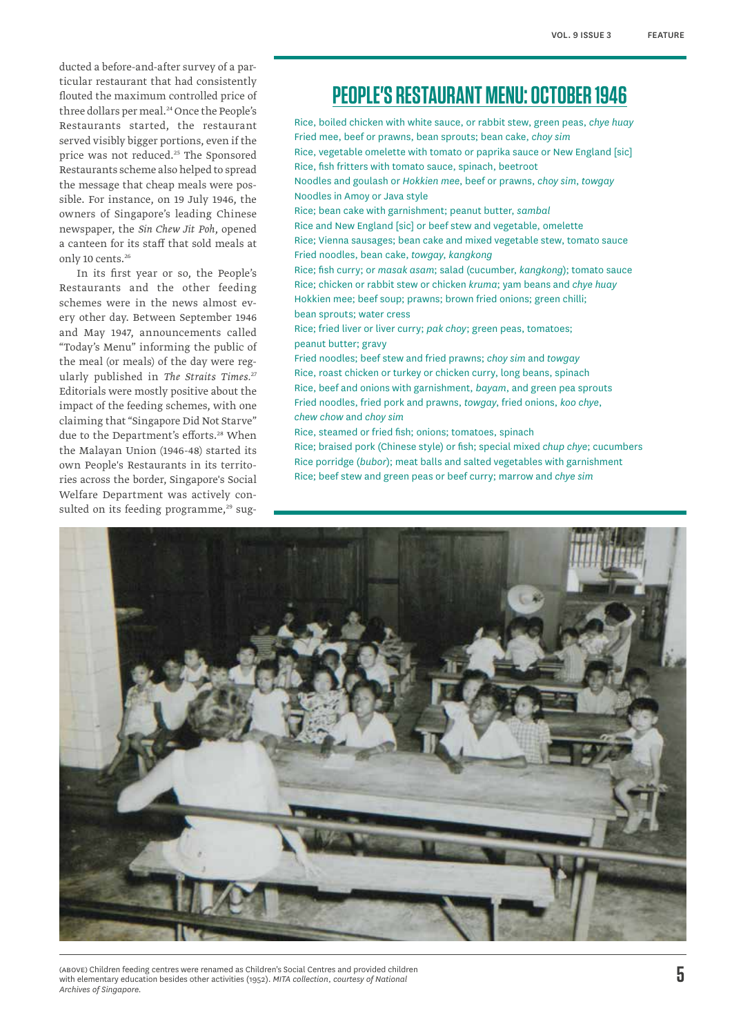ducted a before-and-after survey of a particular restaurant that had consistently flouted the maximum controlled price of three dollars per meal.<sup>24</sup> Once the People's Restaurants started, the restaurant served visibly bigger portions, even if the price was not reduced.<sup>25</sup> The Sponsored Restaurants scheme also helped to spread the message that cheap meals were possible. For instance, on 19 July 1946, the owners of Singapore's leading Chinese newspaper, the *Sin Chew Jit Poh*, opened a canteen for its staff that sold meals at only 10 cents.<sup>26</sup>

In its first year or so, the People's Restaurants and the other feeding schemes were in the news almost every other day. Between September 1946 and May 1947, announcements called "Today's Menu" informing the public of the meal (or meals) of the day were regularly published in *The Straits Times.*<sup>27</sup> Editorials were mostly positive about the impact of the feeding schemes, with one claiming that "Singapore Did Not Starve" due to the Department's efforts.<sup>28</sup> When the Malayan Union (1946-48) started its own People's Restaurants in its territories across the border, Singapore's Social Welfare Department was actively consulted on its feeding programme,<sup>29</sup> sug-

# **PEOPLE's restaurant menu: october 1946**

Rice, boiled chicken with white sauce, or rabbit stew, green peas, *chye huay* Fried mee, beef or prawns, bean sprouts; bean cake, *choy sim* Rice, vegetable omelette with tomato or paprika sauce or New England [sic] Rice, fish fritters with tomato sauce, spinach, beetroot Noodles and goulash or *Hokkien mee*, beef or prawns, *choy sim*, *towgay* Noodles in Amoy or Java style Rice; bean cake with garnishment; peanut butter, *sambal* Rice and New England [sic] or beef stew and vegetable, omelette Rice; Vienna sausages; bean cake and mixed vegetable stew, tomato sauce Fried noodles, bean cake, *towgay*, *kangkong* Rice; fish curry; or *masak asam*; salad (cucumber, *kangkong*); tomato sauce Rice; chicken or rabbit stew or chicken *kruma*; yam beans and *chye huay* Hokkien mee; beef soup; prawns; brown fried onions; green chilli; bean sprouts; water cress Rice; fried liver or liver curry; *pak choy*; green peas, tomatoes;

peanut butter; gravy

Fried noodles; beef stew and fried prawns; *choy sim* and *towgay* Rice, roast chicken or turkey or chicken curry, long beans, spinach Rice, beef and onions with garnishment, *bayam*, and green pea sprouts Fried noodles, fried pork and prawns, *towgay*, fried onions, *koo chye*, *chew chow* and *choy sim*

Rice, steamed or fried fish; onions; tomatoes, spinach

Rice; braised pork (Chinese style) or fish; special mixed *chup chye*; cucumbers Rice porridge (*bubor*); meat balls and salted vegetables with garnishment Rice; beef stew and green peas or beef curry; marrow and *chye sim*



(above) Children feeding centres were renamed as Children's Social Centres and provided children with elementary education besides other activities (1952). *MITA collection, courtesy of National Archives of Singapore.*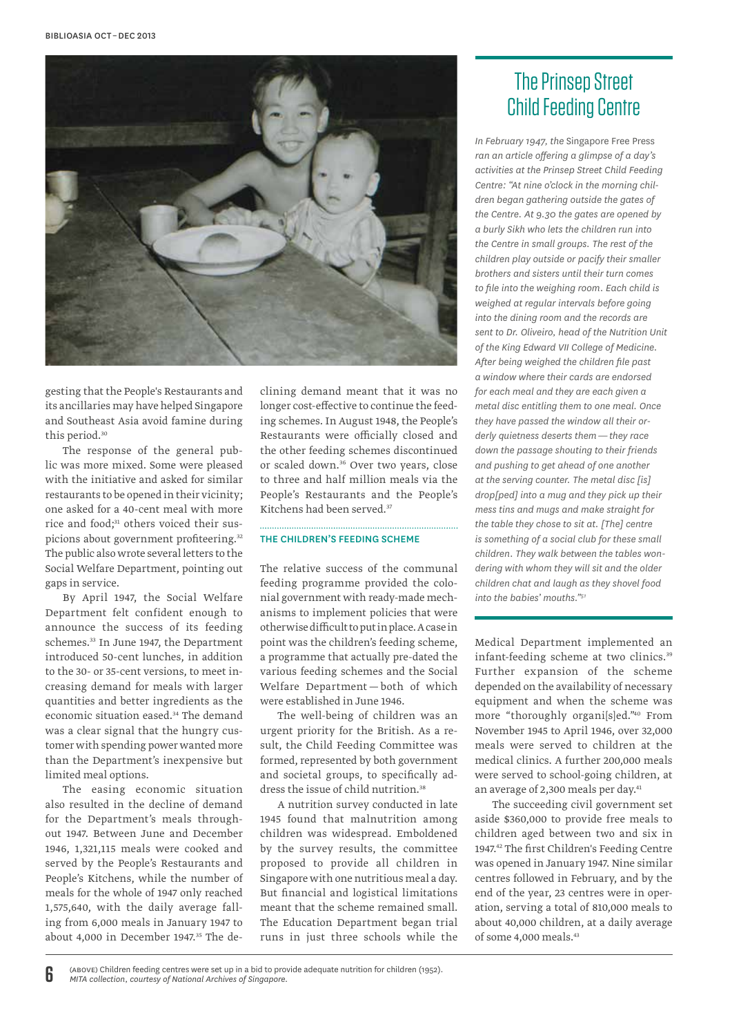

gesting that the People's Restaurants and its ancillaries may have helped Singapore and Southeast Asia avoid famine during this period.<sup>30</sup>

The response of the general public was more mixed. Some were pleased with the initiative and asked for similar restaurants to be opened in their vicinity; one asked for a 40-cent meal with more rice and food;<sup>31</sup> others voiced their suspicions about government profiteering.<sup>32</sup> The public also wrote several letters to the Social Welfare Department, pointing out gaps in service.

By April 1947, the Social Welfare Department felt confident enough to announce the success of its feeding schemes.<sup>33</sup> In June 1947, the Department introduced 50-cent lunches, in addition to the 30- or 35-cent versions, to meet increasing demand for meals with larger quantities and better ingredients as the economic situation eased.<sup>34</sup> The demand was a clear signal that the hungry customer with spending power wanted more than the Department's inexpensive but limited meal options.

The easing economic situation also resulted in the decline of demand for the Department's meals throughout 1947. Between June and December 1946, 1,321,115 meals were cooked and served by the People's Restaurants and People's Kitchens, while the number of meals for the whole of 1947 only reached 1,575,640, with the daily average falling from 6,000 meals in January 1947 to about 4,000 in December 1947.<sup>35</sup> The declining demand meant that it was no longer cost-effective to continue the feeding schemes. In August 1948, the People's Restaurants were officially closed and the other feeding schemes discontinued or scaled down.36 Over two years, close to three and half million meals via the People's Restaurants and the People's Kitchens had been served.<sup>37</sup>

#### The Children's Feeding Scheme

The relative success of the communal feeding programme provided the colonial government with ready-made mechanisms to implement policies that were otherwise difficult to put in place. A case in point was the children's feeding scheme, a programme that actually pre-dated the various feeding schemes and the Social Welfare Department — both of which were established in June 1946.

The well-being of children was an urgent priority for the British. As a result, the Child Feeding Committee was formed, represented by both government and societal groups, to specifically address the issue of child nutrition.<sup>38</sup>

A nutrition survey conducted in late 1945 found that malnutrition among children was widespread. Emboldened by the survey results, the committee proposed to provide all children in Singapore with one nutritious meal a day. But financial and logistical limitations meant that the scheme remained small. The Education Department began trial runs in just three schools while the

## The Prinsep Street Child Feeding Centre

*In February 1947, the* Singapore Free Press *ran an article offering a glimpse of a day's activities at the Prinsep Street Child Feeding Centre: "At nine o'clock in the morning children began gathering outside the gates of the Centre. At 9.30 the gates are opened by a burly Sikh who lets the children run into the Centre in small groups. The rest of the children play outside or pacify their smaller brothers and sisters until their turn comes to file into the weighing room. Each child is weighed at regular intervals before going into the dining room and the records are sent to Dr. Oliveiro, head of the Nutrition Unit of the King Edward VII College of Medicine. After being weighed the children file past a window where their cards are endorsed for each meal and they are each given a metal disc entitling them to one meal. Once they have passed the window all their orderly quietness deserts them — they race down the passage shouting to their friends and pushing to get ahead of one another at the serving counter. The metal disc [is] drop[ped] into a mug and they pick up their mess tins and mugs and make straight for the table they chose to sit at. [The] centre is something of a social club for these small children. They walk between the tables wondering with whom they will sit and the older children chat and laugh as they shovel food into the babies' mouths."51*

Medical Department implemented an infant-feeding scheme at two clinics.<sup>39</sup> Further expansion of the scheme depended on the availability of necessary equipment and when the scheme was more "thoroughly organi[s]ed."40 From November 1945 to April 1946, over 32,000 meals were served to children at the medical clinics. A further 200,000 meals were served to school-going children, at an average of 2,300 meals per day.<sup>41</sup>

The succeeding civil government set aside \$360,000 to provide free meals to children aged between two and six in 1947.42 The first Children's Feeding Centre was opened in January 1947. Nine similar centres followed in February, and by the end of the year, 23 centres were in operation, serving a total of 810,000 meals to about 40,000 children, at a daily average of some 4,000 meals.43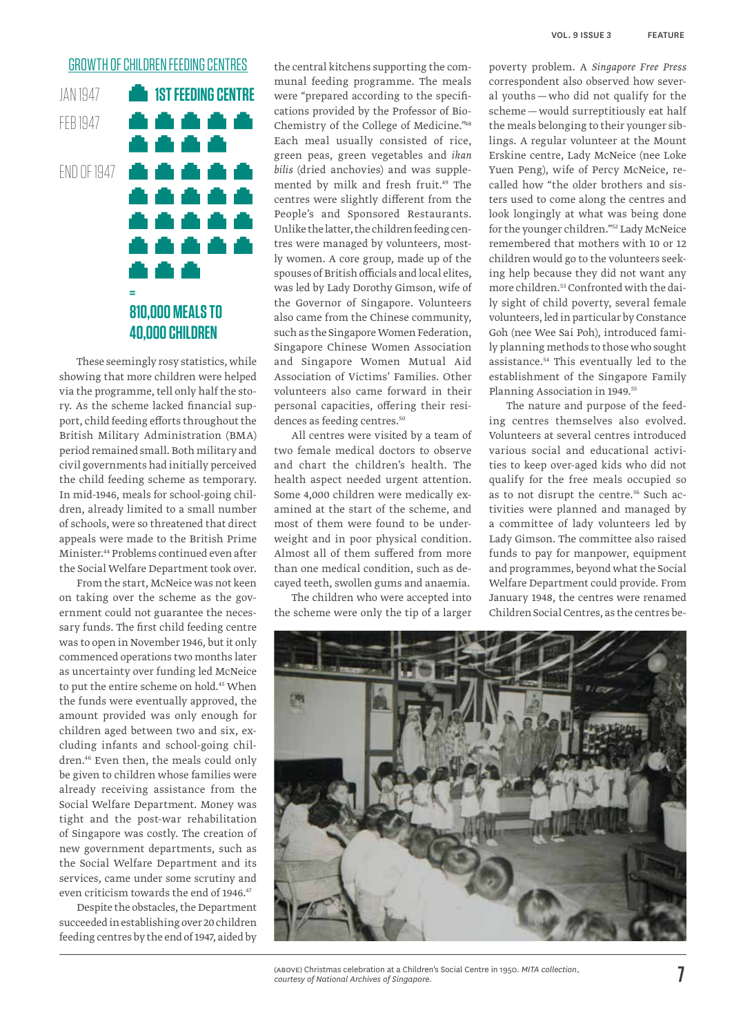## **GROWTH OF CHILDREN FEEDING CENTRES**

JAN 1947 **1st feeding centre** feb 1947 **END OF 1947** n T h An ..... 44 A **= 810,000 meals to 40,000 children**

These seemingly rosy statistics, while showing that more children were helped via the programme, tell only half the story. As the scheme lacked financial support, child feeding efforts throughout the British Military Administration (BMA) period remained small. Both military and civil governments had initially perceived the child feeding scheme as temporary. In mid-1946, meals for school-going children, already limited to a small number of schools, were so threatened that direct appeals were made to the British Prime Minister.44 Problems continued even after the Social Welfare Department took over.

From the start, McNeice was not keen on taking over the scheme as the government could not guarantee the necessary funds. The first child feeding centre was to open in November 1946, but it only commenced operations two months later as uncertainty over funding led McNeice to put the entire scheme on hold.<sup>45</sup> When the funds were eventually approved, the amount provided was only enough for children aged between two and six, excluding infants and school-going children.46 Even then, the meals could only be given to children whose families were already receiving assistance from the Social Welfare Department. Money was tight and the post-war rehabilitation of Singapore was costly. The creation of new government departments, such as the Social Welfare Department and its services, came under some scrutiny and even criticism towards the end of 1946.<sup>47</sup>

Despite the obstacles, the Department succeeded in establishing over 20 children feeding centres by the end of 1947, aided by

the central kitchens supporting the communal feeding programme. The meals were "prepared according to the specifications provided by the Professor of Bio-Chemistry of the College of Medicine."48 Each meal usually consisted of rice, green peas, green vegetables and *ikan bilis* (dried anchovies) and was supplemented by milk and fresh fruit.<sup>49</sup> The centres were slightly different from the People's and Sponsored Restaurants. Unlike the latter, the children feeding centres were managed by volunteers, mostly women. A core group, made up of the spouses of British officials and local elites, was led by Lady Dorothy Gimson, wife of the Governor of Singapore. Volunteers also came from the Chinese community, such as the Singapore Women Federation, Singapore Chinese Women Association and Singapore Women Mutual Aid Association of Victims' Families. Other volunteers also came forward in their personal capacities, offering their residences as feeding centres.<sup>50</sup>

All centres were visited by a team of two female medical doctors to observe and chart the children's health. The health aspect needed urgent attention. Some 4,000 children were medically examined at the start of the scheme, and most of them were found to be underweight and in poor physical condition. Almost all of them suffered from more than one medical condition, such as decayed teeth, swollen gums and anaemia.

The children who were accepted into the scheme were only the tip of a larger poverty problem. A *Singapore Free Press*  correspondent also observed how several youths — who did not qualify for the scheme—would surreptitiously eat half the meals belonging to their younger siblings. A regular volunteer at the Mount Erskine centre, Lady McNeice (nee Loke Yuen Peng), wife of Percy McNeice, recalled how "the older brothers and sisters used to come along the centres and look longingly at what was being done for the younger children."52 Lady McNeice remembered that mothers with 10 or 12 children would go to the volunteers seeking help because they did not want any more children.53 Confronted with the daily sight of child poverty, several female volunteers, led in particular by Constance Goh (nee Wee Sai Poh), introduced family planning methods to those who sought assistance.<sup>54</sup> This eventually led to the establishment of the Singapore Family Planning Association in 1949.<sup>55</sup>

The nature and purpose of the feeding centres themselves also evolved. Volunteers at several centres introduced various social and educational activities to keep over-aged kids who did not qualify for the free meals occupied so as to not disrupt the centre.<sup>56</sup> Such activities were planned and managed by a committee of lady volunteers led by Lady Gimson. The committee also raised funds to pay for manpower, equipment and programmes, beyond what the Social Welfare Department could provide. From January 1948, the centres were renamed Children Social Centres, as the centres be-



(above) Christmas celebration at a Children's Social Centre in 1950. *MITA collection, courtesy of National Archives of Singapore.*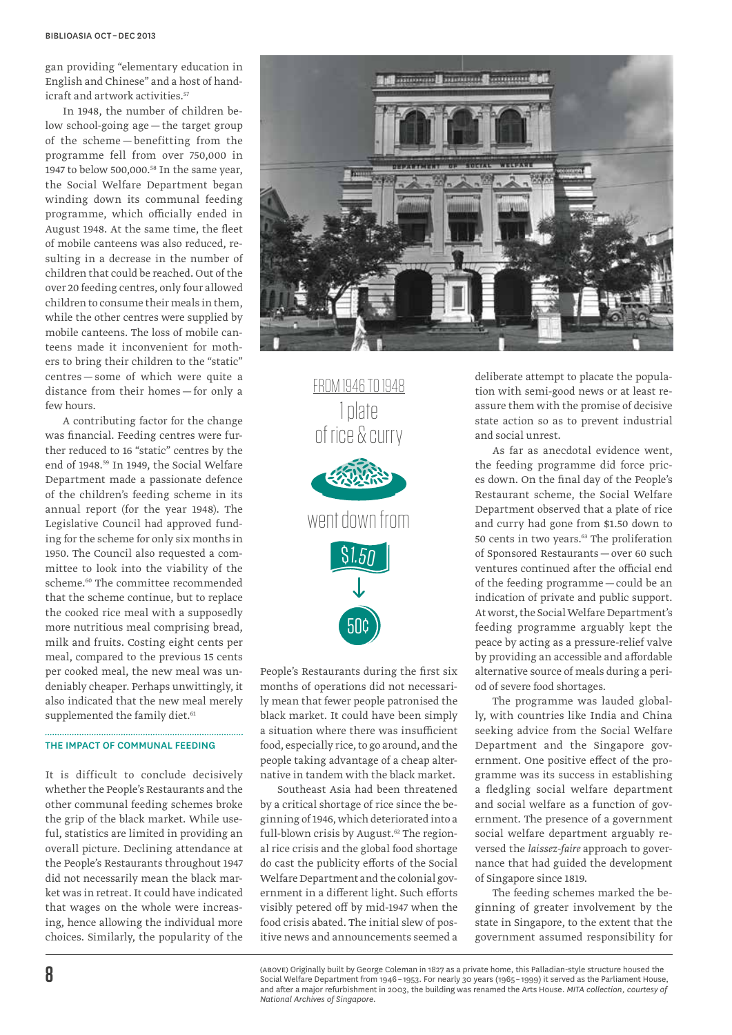gan providing "elementary education in English and Chinese" and a host of handicraft and artwork activities.<sup>57</sup>

In 1948, the number of children below school-going age—the target group of the scheme — benefitting from the programme fell from over 750,000 in 1947 to below 500,000.58 In the same year, the Social Welfare Department began winding down its communal feeding programme, which officially ended in August 1948. At the same time, the fleet of mobile canteens was also reduced, resulting in a decrease in the number of children that could be reached. Out of the over 20 feeding centres, only four allowed children to consume their meals in them, while the other centres were supplied by mobile canteens. The loss of mobile canteens made it inconvenient for mothers to bring their children to the "static" centres — some of which were quite a distance from their homes — for only a few hours.

A contributing factor for the change was financial. Feeding centres were further reduced to 16 "static" centres by the end of 1948.<sup>59</sup> In 1949, the Social Welfare Department made a passionate defence of the children's feeding scheme in its annual report (for the year 1948). The Legislative Council had approved funding for the scheme for only six months in 1950. The Council also requested a committee to look into the viability of the scheme.<sup>60</sup> The committee recommended that the scheme continue, but to replace the cooked rice meal with a supposedly more nutritious meal comprising bread, milk and fruits. Costing eight cents per meal, compared to the previous 15 cents per cooked meal, the new meal was undeniably cheaper. Perhaps unwittingly, it also indicated that the new meal merely supplemented the family diet.<sup>61</sup>

#### The Impact of Communal Feeding

It is difficult to conclude decisively whether the People's Restaurants and the other communal feeding schemes broke the grip of the black market. While useful, statistics are limited in providing an overall picture. Declining attendance at the People's Restaurants throughout 1947 did not necessarily mean the black market was in retreat. It could have indicated that wages on the whole were increasing, hence allowing the individual more choices. Similarly, the popularity of the



from 1946 to 1948 1 plate of rice & curry went down from 50¢ \$1.50

People's Restaurants during the first six months of operations did not necessarily mean that fewer people patronised the black market. It could have been simply a situation where there was insufficient food, especially rice, to go around, and the people taking advantage of a cheap alternative in tandem with the black market.

Southeast Asia had been threatened by a critical shortage of rice since the beginning of 1946, which deteriorated into a full-blown crisis by August.<sup>62</sup> The regional rice crisis and the global food shortage do cast the publicity efforts of the Social Welfare Department and the colonial government in a different light. Such efforts visibly petered off by mid-1947 when the food crisis abated. The initial slew of positive news and announcements seemed a deliberate attempt to placate the population with semi-good news or at least reassure them with the promise of decisive state action so as to prevent industrial and social unrest.

As far as anecdotal evidence went, the feeding programme did force prices down. On the final day of the People's Restaurant scheme, the Social Welfare Department observed that a plate of rice and curry had gone from \$1.50 down to 50 cents in two years.<sup>63</sup> The proliferation of Sponsored Restaurants—over 60 such ventures continued after the official end of the feeding programme—could be an indication of private and public support. At worst, the Social Welfare Department's feeding programme arguably kept the peace by acting as a pressure-relief valve by providing an accessible and affordable alternative source of meals during a period of severe food shortages.

The programme was lauded globally, with countries like India and China seeking advice from the Social Welfare Department and the Singapore government. One positive effect of the programme was its success in establishing a fledgling social welfare department and social welfare as a function of government. The presence of a government social welfare department arguably reversed the *laissez-faire* approach to governance that had guided the development of Singapore since 1819.

The feeding schemes marked the beginning of greater involvement by the state in Singapore, to the extent that the government assumed responsibility for

<sup>(</sup>above) Originally built by George Coleman in 1827 as a private home, this Palladian-style structure housed the Social Welfare Department from 1946 – 1953. For nearly 30 years (1965 – 1999) it served as the Parliament House, and after a major refurbishment in 2003, the building was renamed the Arts House. *MITA collection, courtesy of National Archives of Singapore.*